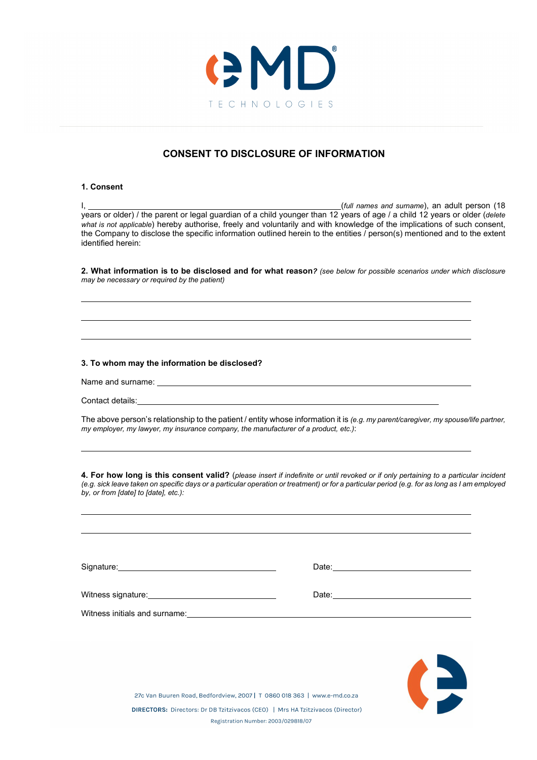

## **CONSENT TO DISCLOSURE OF INFORMATION**

## **1. Consent**

I, (*full names and surname*), an adult person (18 years or older) / the parent or legal guardian of a child younger than 12 years of age / a child 12 years or older (*delete what is not applicable*) hereby authorise, freely and voluntarily and with knowledge of the implications of such consent, the Company to disclose the specific information outlined herein to the entities / person(s) mentioned and to the extent identified herein:

**2. What information is to be disclosed and for what reason***? (see below for possible scenarios under which disclosure may be necessary or required by the patient)*

## **3. To whom may the information be disclosed?**

Name and surname:

Contact details:

The above person's relationship to the patient / entity whose information it is *(e.g. my parent/caregiver, my spouse/life partner, my employer, my lawyer, my insurance company, the manufacturer of a product, etc.)*:

**4. For how long is this consent valid?** (*please insert if indefinite or until revoked or if only pertaining to a particular incident (e.g. sick leave taken on specific days or a particular operation or treatment) or for a particular period (e.g. for as long as I am employed by, or from [date] to [date], etc.):*

|                                                   | Date: <u>______________________</u>                                                                                           |
|---------------------------------------------------|-------------------------------------------------------------------------------------------------------------------------------|
| Witness signature:_______________________________ | Date:<br><u> 1980 - Jan Samuel Barbara, politik eta politik eta politik eta politik eta politik eta politik eta politik e</u> |
| Witness initials and surname: Vitness             |                                                                                                                               |
|                                                   |                                                                                                                               |
|                                                   |                                                                                                                               |



27c Van Buuren Road, Bedfordview, 2007 | T 0860 018 363 | www.e-md.co.za DIRECTORS: Directors: Dr DB Tzitzivacos (CEO) | Mrs HA Tzitzivacos (Director) Registration Number: 2003/029818/07